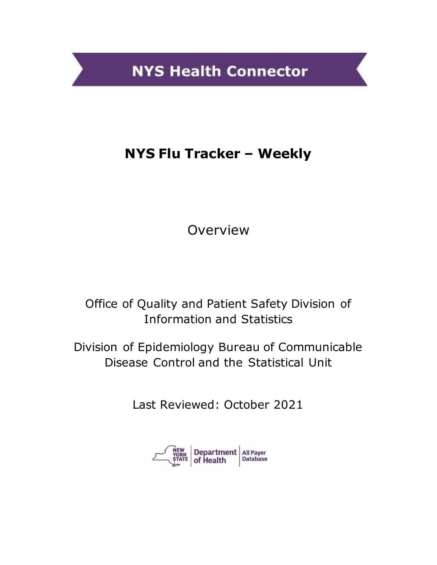**NYS Health Connector** 

# **NYS Flu Tracker – Weekly**

Overview

Office of Quality and Patient Safety Division of Information and Statistics

Division of Epidemiology Bureau of Communicable Disease Control and the Statistical Unit

Last Reviewed: October 2021

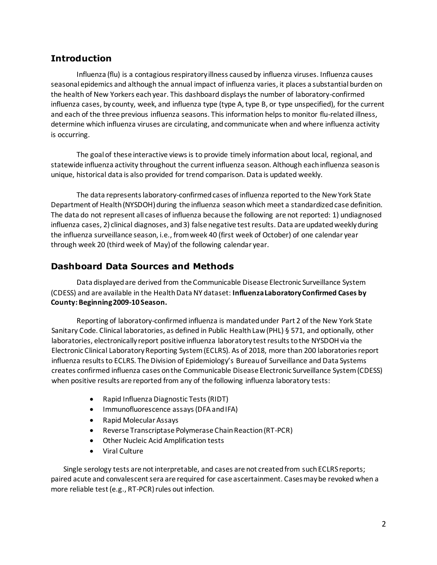## **Introduction**

Influenza (flu) is a contagious respiratory illness caused by influenza viruses. Influenza causes seasonal epidemics and although the annual impact of influenza varies, it places a substantial burden on the health of New Yorkers each year. This dashboard displays the number of laboratory-confirmed influenza cases, by county, week, and influenza type (type A, type B, or type unspecified), for the current and each of the three previous influenza seasons. This information helps to monitor flu-related illness, determine which influenza viruses are circulating, and communicate when and where influenza activity is occurring.

The goal of these interactive views is to provide timely information about local, regional, and statewide influenza activity throughout the current influenza season. Although each influenza season is unique, historical data is also provided for trend comparison. Data is updated weekly.

The data represents laboratory-confirmed cases of influenza reported to the New York State Department of Health (NYSDOH) during the influenza season which meet a standardized case definition. The data do not represent all cases of influenza because the following are not reported: 1) undiagnosed influenza cases, 2) clinical diagnoses, and 3) false negative test results. Data are updated weekly during the influenza surveillance season, i.e., from week 40 (first week of October) of one calendar year through week 20 (third week of May) of the following calendar year.

## **Dashboard Data Sources and Methods**

Data displayed are derived from the Communicable Disease Electronic Surveillance System (CDESS) and are available in the Health Data NY dataset: **Influenza Laboratory Confirmed Cases by County: Beginning 2009-10 Season.** 

Reporting of laboratory-confirmed influenza is mandated under Part 2 of the New York State Sanitary Code. Clinical laboratories, as defined in Public Health Law (PHL) § 571, and optionally, other laboratories, electronically report positive influenza laboratory test results to the NYSDOH via the Electronic Clinical Laboratory Reporting System (ECLRS). As of 2018, more than 200 laboratories report influenza results to ECLRS. The Division of Epidemiology's Bureau of Surveillance and Data Systems creates confirmed influenza cases on the Communicable Disease Electronic Surveillance System (CDESS) when positive results are reported from any of the following influenza laboratory tests:

- Rapid Influenza Diagnostic Tests (RIDT)
- Immunofluorescence assays (DFA and IFA)
- Rapid Molecular Assays
- Reverse Transcriptase Polymerase Chain Reaction (RT-PCR)
- Other Nucleic Acid Amplification tests
- Viral Culture

Single serology tests are not interpretable, and cases are not created from such ECLRS reports; paired acute and convalescent sera are required for case ascertainment. Cases may be revoked when a more reliable test (e.g., RT-PCR) rules out infection.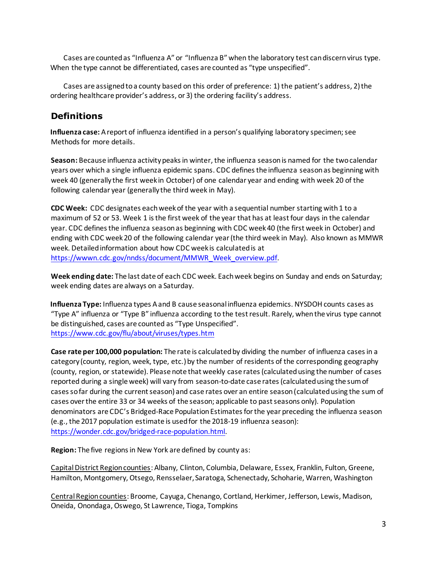Cases are counted as "Influenza A" or "Influenza B" when the laboratory test can discern virus type. When the type cannot be differentiated, cases are counted as "type unspecified".

Cases are assigned to a county based on this order of preference: 1) the patient's address, 2) the ordering healthcare provider's address, or 3) the ordering facility's address.

### **Definitions**

**Influenza case:** A report of influenza identified in a person's qualifying laboratory specimen; see Methods for more details.

**Season:** Because influenza activity peaks in winter, the influenza season is named for the two calendar years over which a single influenza epidemic spans. CDC defines the influenza season as beginning with week 40 (generally the first week in October) of one calendar year and ending with week 20 of the following calendar year (generally the third week in May).

**CDC Week:** CDC designates each week of the year with a sequential number starting with 1 to a maximum of 52 or 53. Week 1 is the first week of the year that has at least four days in the calendar year. CDC defines the influenza season as beginning with CDC week 40 (the first week in October) and ending with CDC week 20 of the following calendar year (the third week in May). Also known as MMWR week. Detailed information about how CDC week is calculated is at [https://wwwn.cdc.gov/nndss/document/MMWR\\_Week\\_overview.pdf.](https://wwwn.cdc.gov/nndss/document/MMWR_Week_overview.pdf)

**Week ending date:** The last date of each CDC week. Each week begins on Sunday and ends on Saturday; week ending dates are always on a Saturday.

**Influenza Type:** Influenza types A and B cause seasonal influenza epidemics. NYSDOH counts cases as "Type A" influenza or "Type B" influenza according to the test result. Rarely, when the virus type cannot be distinguished, cases are counted as "Type Unspecified". <https://www.cdc.gov/flu/about/viruses/types.htm>

**Case rate per 100,000 population:** The rate is calculated by dividing the number of influenza cases in a category (county, region, week, type, etc.) by the number of residents of the corresponding geography (county, region, or statewide). Please note that weekly case rates (calculated using the number of cases reported during a single week) will vary from season-to-date case rates (calculated using the sum of cases so far during the current season) and case rates over an entire season (calculated using the sum of cases over the entire 33 or 34 weeks of the season; applicable to past seasons only). Population denominators are CDC's Bridged-Race Population Estimates for the year preceding the influenza season (e.g., the 2017 population estimate is used for the 2018-19 influenza season): [https://wonder.cdc.gov/bridged-race-population.html.](https://wonder.cdc.gov/bridged-race-population.html) 

**Region:** The five regions in New York are defined by county as:

Capital District Region counties: Albany, Clinton, Columbia, Delaware, Essex, Franklin, Fulton, Greene, Hamilton, Montgomery, Otsego, Rensselaer, Saratoga, Schenectady, Schoharie, Warren, Washington

Central Region counties: Broome, Cayuga, Chenango, Cortland, Herkimer, Jefferson, Lewis, Madison, Oneida, Onondaga, Oswego, St Lawrence, Tioga, Tompkins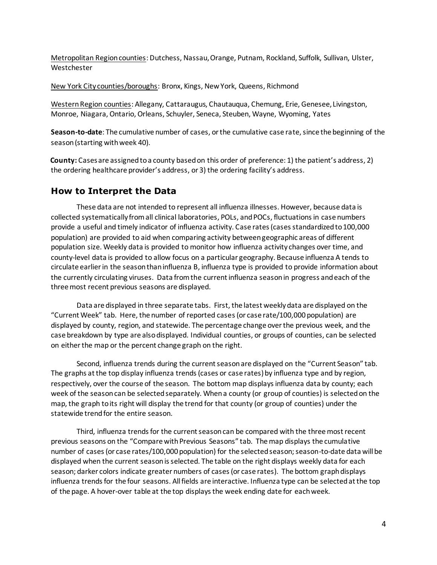Metropolitan Region counties: Dutchess, Nassau, Orange, Putnam, Rockland, Suffolk, Sullivan, Ulster, Westchester

New York City counties/boroughs: Bronx, Kings, New York, Queens, Richmond

Western Region counties: Allegany, Cattaraugus, Chautauqua, Chemung, Erie, Genesee, Livingston, Monroe, Niagara, Ontario, Orleans, Schuyler, Seneca, Steuben, Wayne, Wyoming, Yates

**Season-to-date**: The cumulative number of cases, or the cumulative case rate, since the beginning of the season (starting with week 40).

**County:** Cases are assigned to a county based on this order of preference: 1) the patient's address, 2) the ordering healthcare provider's address, or 3) the ordering facility's address.

#### **How to Interpret the Data**

These data are not intended to represent all influenza illnesses. However, because data is collected systematically from all clinical laboratories, POLs, and POCs, fluctuations in case numbers provide a useful and timely indicator of influenza activity. Case rates (cases standardized to 100,000 population) are provided to aid when comparing activity between geographic areas of different population size. Weekly data is provided to monitor how influenza activity changes over time, and county-level data is provided to allow focus on a particular geography. Because influenza A tends to circulate earlier in the season than influenza B, influenza type is provided to provide information about the currently circulating viruses. Data from the current influenza season in progress and each of the three most recent previous seasons are displayed.

Data are displayed in three separate tabs. First, the latest weekly data are displayed on the "Current Week" tab. Here, the number of reported cases (or case rate/100,000 population) are displayed by county, region, and statewide. The percentage change over the previous week, and the case breakdown by type are also displayed. Individual counties, or groups of counties, can be selected on either the map or the percent change graph on the right.

Second, influenza trends during the current season are displayed on the "Current Season" tab. The graphs at the top display influenza trends (cases or case rates) by influenza type and by region, respectively, over the course of the season. The bottom map displays influenza data by county; each week of the season can be selected separately. When a county (or group of counties) is selected on the map, the graph to its right will display the trend for that county (or group of counties) under the statewide trend for the entire season.

Third, influenza trends for the current season can be compared with the three most recent previous seasons on the "Compare with Previous Seasons" tab. The map displays the cumulative number of cases (or case rates/100,000 population) for the selected season; season-to-date data will be displayed when the current season is selected. The table on the right displays weekly data for each season; darker colors indicate greater numbers of cases (or case rates). The bottom graph displays influenza trends for the four seasons. All fields are interactive. Influenza type can be selected at the top of the page. A hover-over table at the top displays the week ending date for each week.